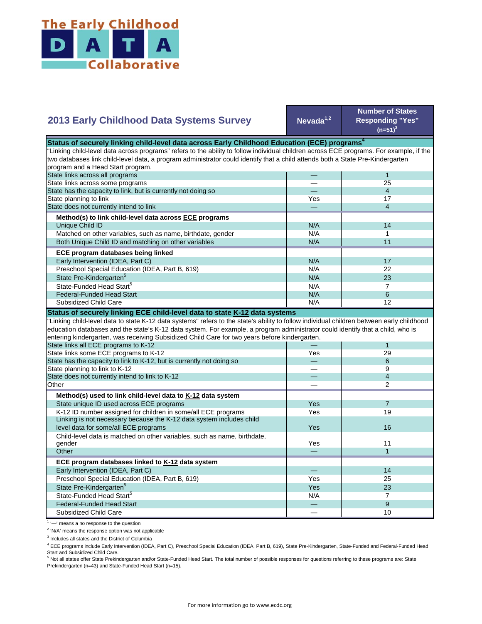

| <b>2013 Early Childhood Data Systems Survey</b>                                                                                           | Nevada $1,2$ | <b>Number of States</b><br><b>Responding "Yes"</b><br>$(n=51)^3$ |
|-------------------------------------------------------------------------------------------------------------------------------------------|--------------|------------------------------------------------------------------|
| Status of securely linking child-level data across Early Childhood Education (ECE) programs <sup>4</sup>                                  |              |                                                                  |
| 'Linking child-level data across programs" refers to the ability to follow individual children across ECE programs. For example, if the   |              |                                                                  |
| two databases link child-level data, a program administrator could identify that a child attends both a State Pre-Kindergarten            |              |                                                                  |
| program and a Head Start program.                                                                                                         |              |                                                                  |
| State links across all programs                                                                                                           |              | 1                                                                |
| State links across some programs                                                                                                          |              | 25                                                               |
| State has the capacity to link, but is currently not doing so                                                                             |              | $\overline{4}$                                                   |
| State planning to link                                                                                                                    | Yes          | 17                                                               |
| State does not currently intend to link                                                                                                   |              | $\overline{4}$                                                   |
| Method(s) to link child-level data across ECE programs                                                                                    |              |                                                                  |
| Unique Child ID                                                                                                                           | N/A          | 14                                                               |
| Matched on other variables, such as name, birthdate, gender                                                                               | N/A          | $\mathbf{1}$                                                     |
|                                                                                                                                           | N/A          | 11                                                               |
| Both Unique Child ID and matching on other variables                                                                                      |              |                                                                  |
| ECE program databases being linked                                                                                                        |              |                                                                  |
| Early Intervention (IDEA, Part C)                                                                                                         | N/A          | 17                                                               |
| Preschool Special Education (IDEA, Part B, 619)                                                                                           | N/A          | 22                                                               |
| State Pre-Kindergarten <sup>5</sup>                                                                                                       | N/A          | 23                                                               |
| State-Funded Head Start <sup>5</sup>                                                                                                      | N/A          | $\overline{7}$                                                   |
|                                                                                                                                           |              |                                                                  |
| <b>Federal-Funded Head Start</b>                                                                                                          | N/A          | 6                                                                |
| Subsidized Child Care                                                                                                                     | N/A          | 12                                                               |
|                                                                                                                                           |              |                                                                  |
| Status of securely linking ECE child-level data to state K-12 data systems                                                                |              |                                                                  |
| 'Linking child-level data to state K-12 data systems" refers to the state's ability to follow individual children between early childhood |              |                                                                  |
| education databases and the state's K-12 data system. For example, a program administrator could identify that a child, who is            |              |                                                                  |
| entering kindergarten, was receiving Subsidized Child Care for two years before kindergarten.                                             |              |                                                                  |
| State links all ECE programs to K-12                                                                                                      |              | 1                                                                |
| State links some ECE programs to K-12                                                                                                     | Yes          | 29<br>6                                                          |
| State has the capacity to link to K-12, but is currently not doing so                                                                     |              | 9                                                                |
| State planning to link to K-12                                                                                                            |              |                                                                  |
| State does not currently intend to link to K-12<br>Other                                                                                  |              | $\overline{4}$<br>$\overline{2}$                                 |
|                                                                                                                                           |              |                                                                  |
| Method(s) used to link child-level data to K-12 data system                                                                               |              |                                                                  |
| State unique ID used across ECE programs                                                                                                  | Yes          | $\overline{7}$                                                   |
| K-12 ID number assigned for children in some/all ECE programs                                                                             | Yes          | 19                                                               |
| Linking is not necessary because the K-12 data system includes child                                                                      |              |                                                                  |
| level data for some/all ECE programs                                                                                                      | Yes          | 16                                                               |
| Child-level data is matched on other variables, such as name, birthdate,                                                                  |              |                                                                  |
| gender                                                                                                                                    | Yes          | 11                                                               |
| Other                                                                                                                                     |              | $\mathbf{1}$                                                     |
| ECE program databases linked to K-12 data system                                                                                          |              |                                                                  |
| Early Intervention (IDEA, Part C)                                                                                                         |              | 14                                                               |
| Preschool Special Education (IDEA, Part B, 619)                                                                                           | Yes          | 25                                                               |
| State Pre-Kindergarten <sup>5</sup>                                                                                                       | Yes          | 23                                                               |
| State-Funded Head Start <sup>5</sup>                                                                                                      | N/A          | $\overline{7}$                                                   |
| <b>Federal-Funded Head Start</b>                                                                                                          |              | 9                                                                |

<sup>1</sup> '-' means a no response to the question

<sup>2</sup> 'N/A' means the response option was not applicable

<sup>3</sup> Includes all states and the District of Columbia

<sup>4</sup> ECE programs include Early Intervention (IDEA, Part C), Preschool Special Education (IDEA, Part B, 619), State Pre-Kindergarten, State-Funded and Federal-Funded Head

Start and Subsidized Child Care.<br><sup>5</sup> Not all states offer State Prekindergarten and/or State-Funded Head Start. The total number of possible responses for questions referring to these programs are: State Prekindergarten (n=43) and State-Funded Head Start (n=15).